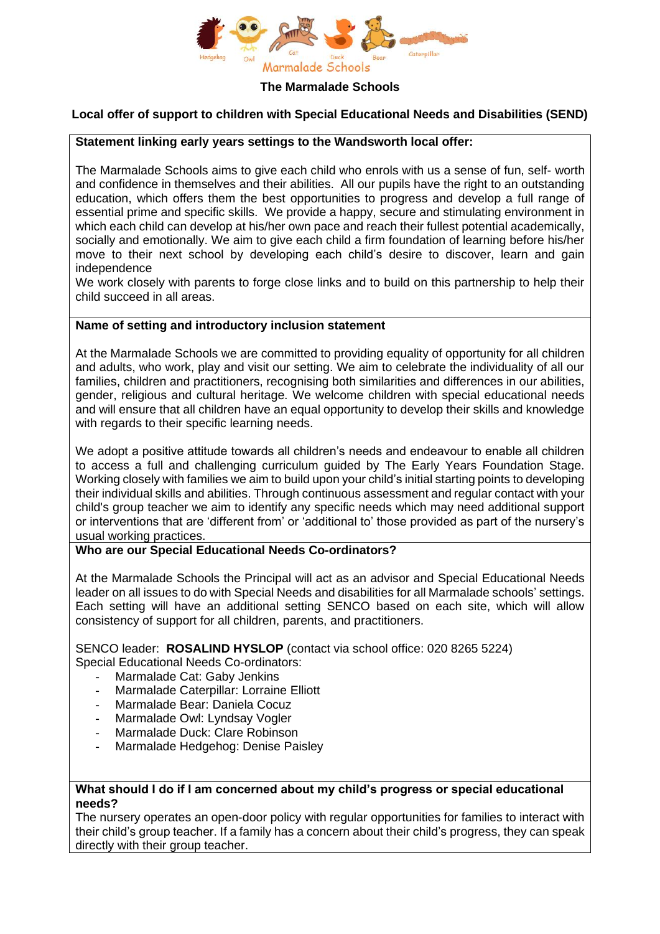

# **The Marmalade Schools**

#### **Local offer of support to children with Special Educational Needs and Disabilities (SEND)**

#### **Statement linking early years settings to the Wandsworth local offer:**

The Marmalade Schools aims to give each child who enrols with us a sense of fun, self- worth and confidence in themselves and their abilities. All our pupils have the right to an outstanding education, which offers them the best opportunities to progress and develop a full range of essential prime and specific skills. We provide a happy, secure and stimulating environment in which each child can develop at his/her own pace and reach their fullest potential academically, socially and emotionally. We aim to give each child a firm foundation of learning before his/her move to their next school by developing each child's desire to discover, learn and gain independence

We work closely with parents to forge close links and to build on this partnership to help their child succeed in all areas.

#### **Name of setting and introductory inclusion statement**

At the Marmalade Schools we are committed to providing equality of opportunity for all children and adults, who work, play and visit our setting. We aim to celebrate the individuality of all our families, children and practitioners, recognising both similarities and differences in our abilities, gender, religious and cultural heritage. We welcome children with special educational needs and will ensure that all children have an equal opportunity to develop their skills and knowledge with regards to their specific learning needs.

We adopt a positive attitude towards all children's needs and endeavour to enable all children to access a full and challenging curriculum guided by The Early Years Foundation Stage. Working closely with families we aim to build upon your child's initial starting points to developing their individual skills and abilities. Through continuous assessment and regular contact with your child's group teacher we aim to identify any specific needs which may need additional support or interventions that are 'different from' or 'additional to' those provided as part of the nursery's usual working practices.

#### **Who are our Special Educational Needs Co-ordinators?**

At the Marmalade Schools the Principal will act as an advisor and Special Educational Needs leader on all issues to do with Special Needs and disabilities for all Marmalade schools' settings. Each setting will have an additional setting SENCO based on each site, which will allow consistency of support for all children, parents, and practitioners.

SENCO leader: **ROSALIND HYSLOP** (contact via school office: 020 8265 5224) Special Educational Needs Co-ordinators:

- Marmalade Cat: Gaby Jenkins
- Marmalade Caterpillar: Lorraine Elliott
- Marmalade Bear: Daniela Cocuz
- Marmalade Owl: Lyndsay Vogler
- Marmalade Duck: Clare Robinson
- Marmalade Hedgehog: Denise Paisley

#### **What should I do if I am concerned about my child's progress or special educational needs?**

The nursery operates an open-door policy with regular opportunities for families to interact with their child's group teacher. If a family has a concern about their child's progress, they can speak directly with their group teacher.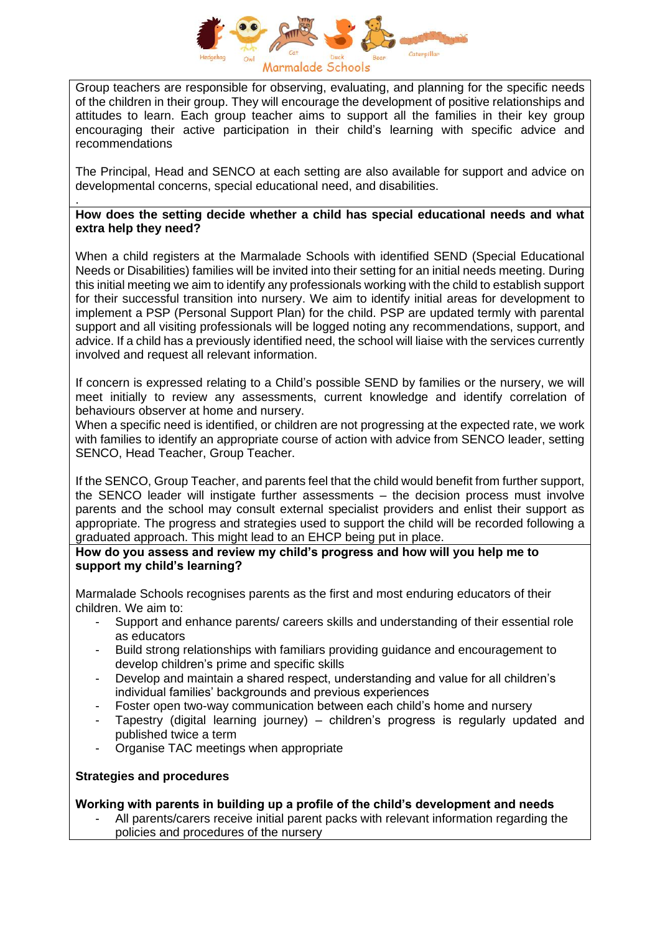

Group teachers are responsible for observing, evaluating, and planning for the specific needs of the children in their group. They will encourage the development of positive relationships and attitudes to learn. Each group teacher aims to support all the families in their key group encouraging their active participation in their child's learning with specific advice and recommendations

The Principal, Head and SENCO at each setting are also available for support and advice on developmental concerns, special educational need, and disabilities.

#### . **How does the setting decide whether a child has special educational needs and what extra help they need?**

When a child registers at the Marmalade Schools with identified SEND (Special Educational Needs or Disabilities) families will be invited into their setting for an initial needs meeting. During this initial meeting we aim to identify any professionals working with the child to establish support for their successful transition into nursery. We aim to identify initial areas for development to implement a PSP (Personal Support Plan) for the child. PSP are updated termly with parental support and all visiting professionals will be logged noting any recommendations, support, and advice. If a child has a previously identified need, the school will liaise with the services currently involved and request all relevant information.

If concern is expressed relating to a Child's possible SEND by families or the nursery, we will meet initially to review any assessments, current knowledge and identify correlation of behaviours observer at home and nursery.

When a specific need is identified, or children are not progressing at the expected rate, we work with families to identify an appropriate course of action with advice from SENCO leader, setting SENCO, Head Teacher, Group Teacher.

If the SENCO, Group Teacher, and parents feel that the child would benefit from further support, the SENCO leader will instigate further assessments – the decision process must involve parents and the school may consult external specialist providers and enlist their support as appropriate. The progress and strategies used to support the child will be recorded following a graduated approach. This might lead to an EHCP being put in place.

#### **How do you assess and review my child's progress and how will you help me to support my child's learning?**

Marmalade Schools recognises parents as the first and most enduring educators of their children. We aim to:

- Support and enhance parents/ careers skills and understanding of their essential role as educators
- Build strong relationships with familiars providing guidance and encouragement to develop children's prime and specific skills
- Develop and maintain a shared respect, understanding and value for all children's individual families' backgrounds and previous experiences
- Foster open two-way communication between each child's home and nursery
- Tapestry (digital learning journey) children's progress is regularly updated and published twice a term
- Organise TAC meetings when appropriate

# **Strategies and procedures**

#### **Working with parents in building up a profile of the child's development and needs**

- All parents/carers receive initial parent packs with relevant information regarding the policies and procedures of the nursery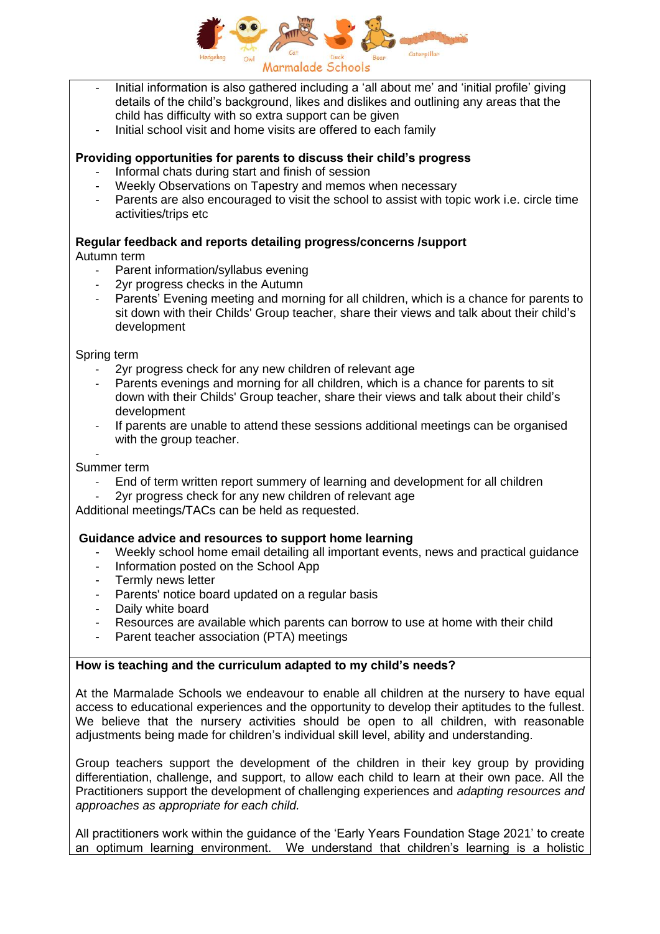

- Initial information is also gathered including a 'all about me' and 'initial profile' giving details of the child's background, likes and dislikes and outlining any areas that the child has difficulty with so extra support can be given
- Initial school visit and home visits are offered to each family

# **Providing opportunities for parents to discuss their child's progress**

- Informal chats during start and finish of session
- Weekly Observations on Tapestry and memos when necessary
- Parents are also encouraged to visit the school to assist with topic work i.e. circle time activities/trips etc

# **Regular feedback and reports detailing progress/concerns /support**

Autumn term

- Parent information/syllabus evening
- 2yr progress checks in the Autumn
- Parents' Evening meeting and morning for all children, which is a chance for parents to sit down with their Childs' Group teacher, share their views and talk about their child's development

#### Spring term

- 2yr progress check for any new children of relevant age
- Parents evenings and morning for all children, which is a chance for parents to sit down with their Childs' Group teacher, share their views and talk about their child's development
- If parents are unable to attend these sessions additional meetings can be organised with the group teacher.

#### - Summer term

- End of term written report summery of learning and development for all children
- 2yr progress check for any new children of relevant age

Additional meetings/TACs can be held as requested.

#### **Guidance advice and resources to support home learning**

- Weekly school home email detailing all important events, news and practical guidance
- Information posted on the School App
- Termly news letter
- Parents' notice board updated on a regular basis
- Daily white board
- Resources are available which parents can borrow to use at home with their child
- Parent teacher association (PTA) meetings

### **How is teaching and the curriculum adapted to my child's needs?**

At the Marmalade Schools we endeavour to enable all children at the nursery to have equal access to educational experiences and the opportunity to develop their aptitudes to the fullest. We believe that the nursery activities should be open to all children, with reasonable adjustments being made for children's individual skill level, ability and understanding.

Group teachers support the development of the children in their key group by providing differentiation, challenge, and support, to allow each child to learn at their own pace. All the Practitioners support the development of challenging experiences and *adapting resources and approaches as appropriate for each child.* 

All practitioners work within the guidance of the 'Early Years Foundation Stage 2021' to create an optimum learning environment. We understand that children's learning is a holistic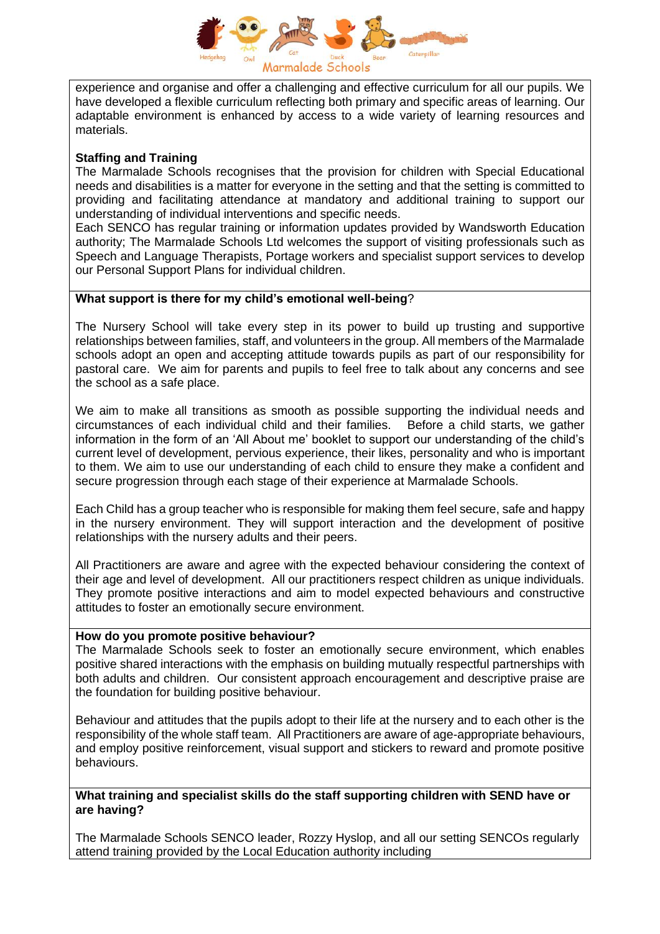

experience and organise and offer a challenging and effective curriculum for all our pupils. We have developed a flexible curriculum reflecting both primary and specific areas of learning. Our adaptable environment is enhanced by access to a wide variety of learning resources and materials.

### **Staffing and Training**

The Marmalade Schools recognises that the provision for children with Special Educational needs and disabilities is a matter for everyone in the setting and that the setting is committed to providing and facilitating attendance at mandatory and additional training to support our understanding of individual interventions and specific needs.

Each SENCO has regular training or information updates provided by Wandsworth Education authority; The Marmalade Schools Ltd welcomes the support of visiting professionals such as Speech and Language Therapists, Portage workers and specialist support services to develop our Personal Support Plans for individual children.

# **What support is there for my child's emotional well-being**?

The Nursery School will take every step in its power to build up trusting and supportive relationships between families, staff, and volunteers in the group. All members of the Marmalade schools adopt an open and accepting attitude towards pupils as part of our responsibility for pastoral care. We aim for parents and pupils to feel free to talk about any concerns and see the school as a safe place.

We aim to make all transitions as smooth as possible supporting the individual needs and circumstances of each individual child and their families. Before a child starts, we gather information in the form of an 'All About me' booklet to support our understanding of the child's current level of development, pervious experience, their likes, personality and who is important to them. We aim to use our understanding of each child to ensure they make a confident and secure progression through each stage of their experience at Marmalade Schools.

Each Child has a group teacher who is responsible for making them feel secure, safe and happy in the nursery environment. They will support interaction and the development of positive relationships with the nursery adults and their peers.

All Practitioners are aware and agree with the expected behaviour considering the context of their age and level of development. All our practitioners respect children as unique individuals. They promote positive interactions and aim to model expected behaviours and constructive attitudes to foster an emotionally secure environment.

#### **How do you promote positive behaviour?**

The Marmalade Schools seek to foster an emotionally secure environment, which enables positive shared interactions with the emphasis on building mutually respectful partnerships with both adults and children. Our consistent approach encouragement and descriptive praise are the foundation for building positive behaviour.

Behaviour and attitudes that the pupils adopt to their life at the nursery and to each other is the responsibility of the whole staff team. All Practitioners are aware of age-appropriate behaviours, and employ positive reinforcement, visual support and stickers to reward and promote positive behaviours.

#### **What training and specialist skills do the staff supporting children with SEND have or are having?**

The Marmalade Schools SENCO leader, Rozzy Hyslop, and all our setting SENCOs regularly attend training provided by the Local Education authority including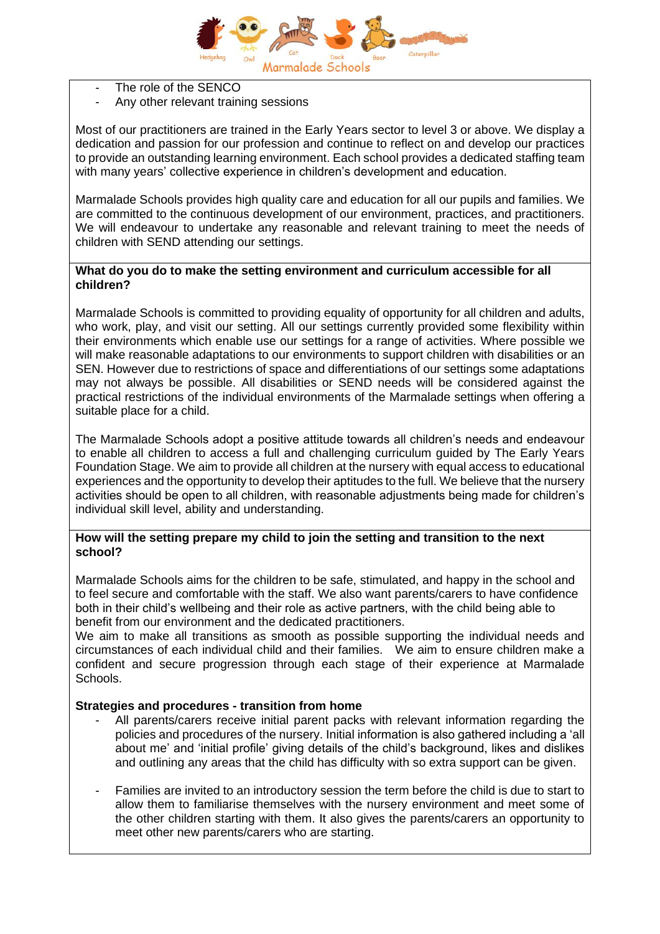

- The role of the SENCO
- Any other relevant training sessions

Most of our practitioners are trained in the Early Years sector to level 3 or above. We display a dedication and passion for our profession and continue to reflect on and develop our practices to provide an outstanding learning environment. Each school provides a dedicated staffing team with many years' collective experience in children's development and education.

Marmalade Schools provides high quality care and education for all our pupils and families. We are committed to the continuous development of our environment, practices, and practitioners. We will endeavour to undertake any reasonable and relevant training to meet the needs of children with SEND attending our settings.

#### **What do you do to make the setting environment and curriculum accessible for all children?**

Marmalade Schools is committed to providing equality of opportunity for all children and adults, who work, play, and visit our setting. All our settings currently provided some flexibility within their environments which enable use our settings for a range of activities. Where possible we will make reasonable adaptations to our environments to support children with disabilities or an SEN. However due to restrictions of space and differentiations of our settings some adaptations may not always be possible. All disabilities or SEND needs will be considered against the practical restrictions of the individual environments of the Marmalade settings when offering a suitable place for a child.

The Marmalade Schools adopt a positive attitude towards all children's needs and endeavour to enable all children to access a full and challenging curriculum guided by The Early Years Foundation Stage. We aim to provide all children at the nursery with equal access to educational experiences and the opportunity to develop their aptitudes to the full. We believe that the nursery activities should be open to all children, with reasonable adjustments being made for children's individual skill level, ability and understanding.

#### **How will the setting prepare my child to join the setting and transition to the next school?**

Marmalade Schools aims for the children to be safe, stimulated, and happy in the school and to feel secure and comfortable with the staff. We also want parents/carers to have confidence both in their child's wellbeing and their role as active partners, with the child being able to benefit from our environment and the dedicated practitioners.

We aim to make all transitions as smooth as possible supporting the individual needs and circumstances of each individual child and their families. We aim to ensure children make a confident and secure progression through each stage of their experience at Marmalade Schools.

#### **Strategies and procedures - transition from home**

- All parents/carers receive initial parent packs with relevant information regarding the policies and procedures of the nursery. Initial information is also gathered including a 'all about me' and 'initial profile' giving details of the child's background, likes and dislikes and outlining any areas that the child has difficulty with so extra support can be given.
- Families are invited to an introductory session the term before the child is due to start to allow them to familiarise themselves with the nursery environment and meet some of the other children starting with them. It also gives the parents/carers an opportunity to meet other new parents/carers who are starting.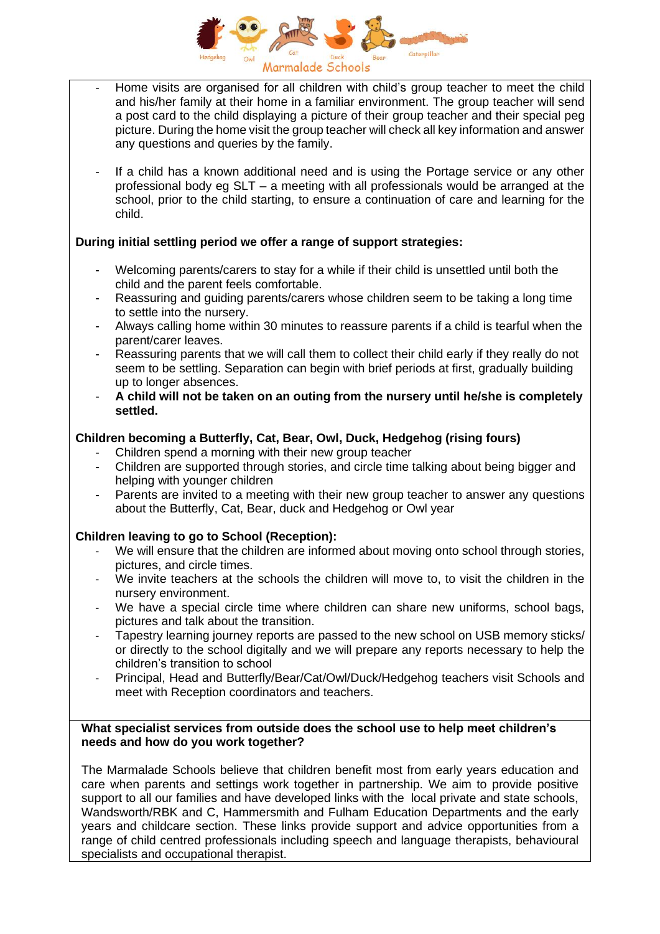

- Home visits are organised for all children with child's group teacher to meet the child and his/her family at their home in a familiar environment. The group teacher will send a post card to the child displaying a picture of their group teacher and their special peg picture. During the home visit the group teacher will check all key information and answer any questions and queries by the family.
- If a child has a known additional need and is using the Portage service or any other professional body eg SLT – a meeting with all professionals would be arranged at the school, prior to the child starting, to ensure a continuation of care and learning for the child.

#### **During initial settling period we offer a range of support strategies:**

- Welcoming parents/carers to stay for a while if their child is unsettled until both the child and the parent feels comfortable.
- Reassuring and guiding parents/carers whose children seem to be taking a long time to settle into the nursery.
- Always calling home within 30 minutes to reassure parents if a child is tearful when the parent/carer leaves.
- Reassuring parents that we will call them to collect their child early if they really do not seem to be settling. Separation can begin with brief periods at first, gradually building up to longer absences.
- **A child will not be taken on an outing from the nursery until he/she is completely settled.**

# **Children becoming a Butterfly, Cat, Bear, Owl, Duck, Hedgehog (rising fours)**

- Children spend a morning with their new group teacher
- Children are supported through stories, and circle time talking about being bigger and helping with younger children
- Parents are invited to a meeting with their new group teacher to answer any questions about the Butterfly, Cat, Bear, duck and Hedgehog or Owl year

# **Children leaving to go to School (Reception):**

- We will ensure that the children are informed about moving onto school through stories, pictures, and circle times.
- We invite teachers at the schools the children will move to, to visit the children in the nursery environment.
- We have a special circle time where children can share new uniforms, school bags, pictures and talk about the transition.
- Tapestry learning journey reports are passed to the new school on USB memory sticks/ or directly to the school digitally and we will prepare any reports necessary to help the children's transition to school
- Principal, Head and Butterfly/Bear/Cat/Owl/Duck/Hedgehog teachers visit Schools and meet with Reception coordinators and teachers.

#### **What specialist services from outside does the school use to help meet children's needs and how do you work together?**

The Marmalade Schools believe that children benefit most from early years education and care when parents and settings work together in partnership. We aim to provide positive support to all our families and have developed links with the local private and state schools, Wandsworth/RBK and C, Hammersmith and Fulham Education Departments and the early years and childcare section. These links provide support and advice opportunities from a range of child centred professionals including speech and language therapists, behavioural specialists and occupational therapist.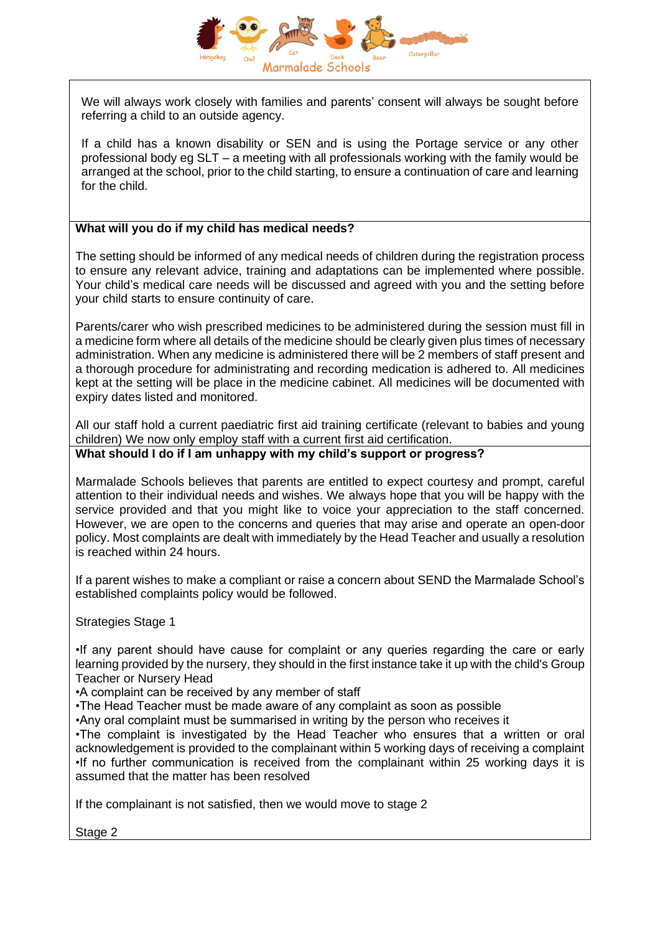

We will always work closely with families and parents' consent will always be sought before referring a child to an outside agency.

If a child has a known disability or SEN and is using the Portage service or any other professional body eg SLT – a meeting with all professionals working with the family would be arranged at the school, prior to the child starting, to ensure a continuation of care and learning for the child.

#### **What will you do if my child has medical needs?**

The setting should be informed of any medical needs of children during the registration process to ensure any relevant advice, training and adaptations can be implemented where possible. Your child's medical care needs will be discussed and agreed with you and the setting before your child starts to ensure continuity of care.

Parents/carer who wish prescribed medicines to be administered during the session must fill in a medicine form where all details of the medicine should be clearly given plus times of necessary administration. When any medicine is administered there will be 2 members of staff present and a thorough procedure for administrating and recording medication is adhered to. All medicines kept at the setting will be place in the medicine cabinet. All medicines will be documented with expiry dates listed and monitored.

All our staff hold a current paediatric first aid training certificate (relevant to babies and young children) We now only employ staff with a current first aid certification.

#### **What should I do if I am unhappy with my child's support or progress?**

Marmalade Schools believes that parents are entitled to expect courtesy and prompt, careful attention to their individual needs and wishes. We always hope that you will be happy with the service provided and that you might like to voice your appreciation to the staff concerned. However, we are open to the concerns and queries that may arise and operate an open-door policy. Most complaints are dealt with immediately by the Head Teacher and usually a resolution is reached within 24 hours.

If a parent wishes to make a compliant or raise a concern about SEND the Marmalade School's established complaints policy would be followed.

Strategies Stage 1

•If any parent should have cause for complaint or any queries regarding the care or early learning provided by the nursery, they should in the first instance take it up with the child's Group Teacher or Nursery Head

•A complaint can be received by any member of staff

•The Head Teacher must be made aware of any complaint as soon as possible

•Any oral complaint must be summarised in writing by the person who receives it

•The complaint is investigated by the Head Teacher who ensures that a written or oral acknowledgement is provided to the complainant within 5 working days of receiving a complaint •If no further communication is received from the complainant within 25 working days it is assumed that the matter has been resolved

If the complainant is not satisfied, then we would move to stage 2

Stage 2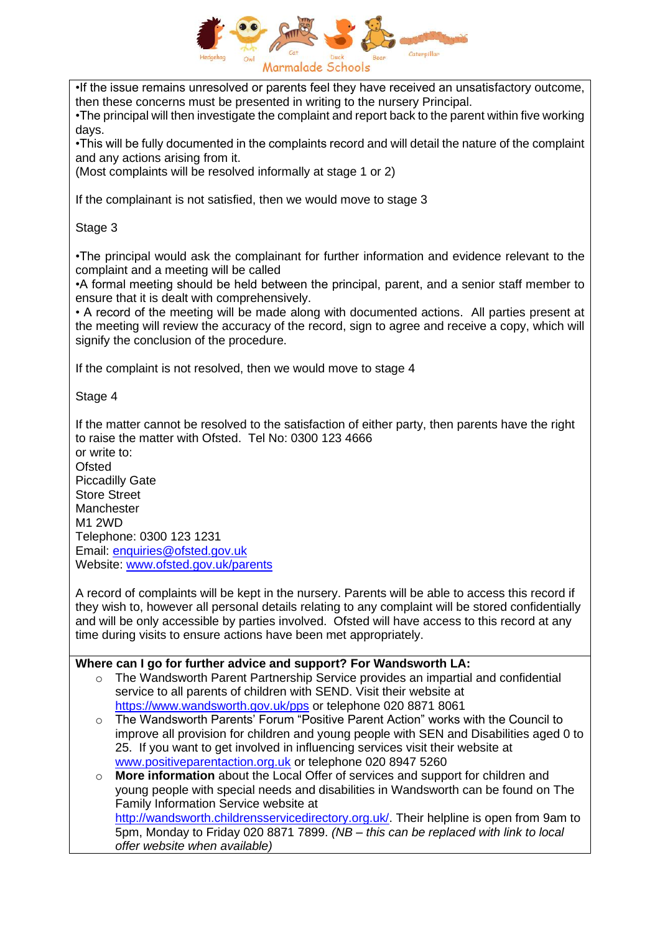

•If the issue remains unresolved or parents feel they have received an unsatisfactory outcome, then these concerns must be presented in writing to the nursery Principal.

•The principal will then investigate the complaint and report back to the parent within five working days.

•This will be fully documented in the complaints record and will detail the nature of the complaint and any actions arising from it.

(Most complaints will be resolved informally at stage 1 or 2)

If the complainant is not satisfied, then we would move to stage 3

Stage 3

•The principal would ask the complainant for further information and evidence relevant to the complaint and a meeting will be called

•A formal meeting should be held between the principal, parent, and a senior staff member to ensure that it is dealt with comprehensively.

• A record of the meeting will be made along with documented actions. All parties present at the meeting will review the accuracy of the record, sign to agree and receive a copy, which will signify the conclusion of the procedure.

If the complaint is not resolved, then we would move to stage 4

Stage 4

If the matter cannot be resolved to the satisfaction of either party, then parents have the right to raise the matter with Ofsted. Tel No: 0300 123 4666

or write to: **Ofsted** Piccadilly Gate Store Street Manchester M1 2WD Telephone: 0300 123 1231 Email: [enquiries@ofsted.gov.uk](mailto:enquiries@ofsted.gov.uk) Website: [www.ofsted.gov.uk/parents](http://www.ofsted.gov.uk/parents)

A record of complaints will be kept in the nursery. Parents will be able to access this record if they wish to, however all personal details relating to any complaint will be stored confidentially and will be only accessible by parties involved. Ofsted will have access to this record at any time during visits to ensure actions have been met appropriately.

- $\circ$  The Wandsworth Parent Partnership Service provides an impartial and confidential service to all parents of children with SEND. Visit their website at <https://www.wandsworth.gov.uk/pps> or telephone 020 8871 8061
- o The Wandsworth Parents' Forum "Positive Parent Action" works with the Council to improve all provision for children and young people with SEN and Disabilities aged 0 to 25. If you want to get involved in influencing services visit their website at [www.positiveparentaction.org.uk](http://www.positiveparentaction.org.uk/) or telephone 020 8947 5260

o **More information** about the Local Offer of services and support for children and young people with special needs and disabilities in Wandsworth can be found on The Family Information Service website at [http://wandsworth.childrensservicedirectory.org.uk/.](http://wandsworth.childrensservicedirectory.org.uk/) Their helpline is open from 9am to 5pm, Monday to Friday 020 8871 7899. *(NB – this can be replaced with link to local offer website when available)*